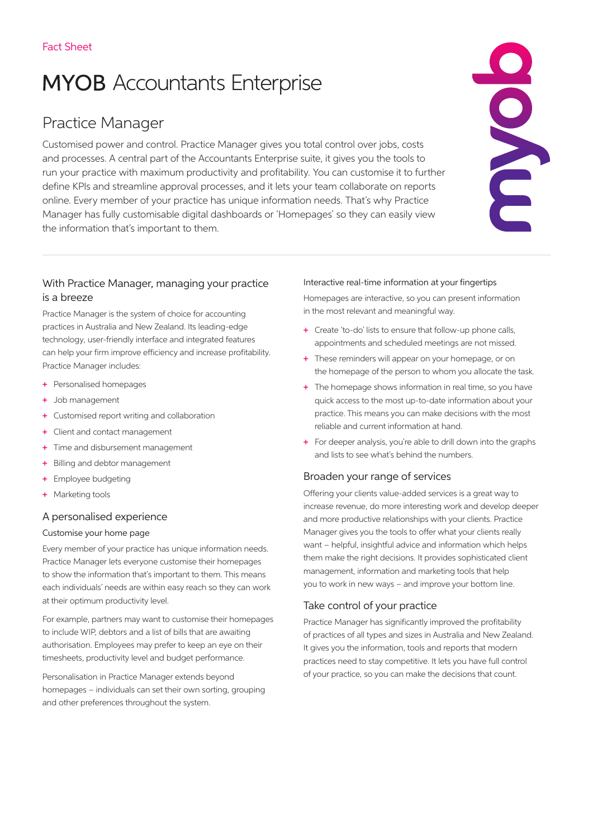# **MYOB** Accountants Enterprise

## Practice Manager

Customised power and control. Practice Manager gives you total control over jobs, costs and processes. A central part of the Accountants Enterprise suite, it gives you the tools to run your practice with maximum productivity and profitability. You can customise it to further define KPIs and streamline approval processes, and it lets your team collaborate on reports online. Every member of your practice has unique information needs. That's why Practice Manager has fully customisable digital dashboards or 'Homepages' so they can easily view the information that's important to them.



## With Practice Manager, managing your practice is a breeze

Practice Manager is the system of choice for accounting practices in Australia and New Zealand. Its leading-edge technology, user-friendly interface and integrated features can help your firm improve efficiency and increase profitability. Practice Manager includes:

- + Personalised homepages
- + Job management
- + Customised report writing and collaboration
- + Client and contact management
- + Time and disbursement management
- + Billing and debtor management
- + Employee budgeting
- + Marketing tools

## A personalised experience

#### Customise your home page

Every member of your practice has unique information needs. Practice Manager lets everyone customise their homepages to show the information that's important to them. This means each individuals' needs are within easy reach so they can work at their optimum productivity level.

For example, partners may want to customise their homepages to include WIP, debtors and a list of bills that are awaiting authorisation. Employees may prefer to keep an eye on their timesheets, productivity level and budget performance.

Personalisation in Practice Manager extends beyond homepages – individuals can set their own sorting, grouping and other preferences throughout the system.

#### Interactive real-time information at your fingertips

Homepages are interactive, so you can present information in the most relevant and meaningful way.

- + Create 'to-do' lists to ensure that follow-up phone calls, appointments and scheduled meetings are not missed.
- + These reminders will appear on your homepage, or on the homepage of the person to whom you allocate the task.
- + The homepage shows information in real time, so you have quick access to the most up-to-date information about your practice. This means you can make decisions with the most reliable and current information at hand.
- + For deeper analysis, you're able to drill down into the graphs and lists to see what's behind the numbers.

## Broaden your range of services

Offering your clients value-added services is a great way to increase revenue, do more interesting work and develop deeper and more productive relationships with your clients. Practice Manager gives you the tools to offer what your clients really want – helpful, insightful advice and information which helps them make the right decisions. It provides sophisticated client management, information and marketing tools that help you to work in new ways – and improve your bottom line.

## Take control of your practice

Practice Manager has significantly improved the profitability of practices of all types and sizes in Australia and New Zealand. It gives you the information, tools and reports that modern practices need to stay competitive. It lets you have full control of your practice, so you can make the decisions that count.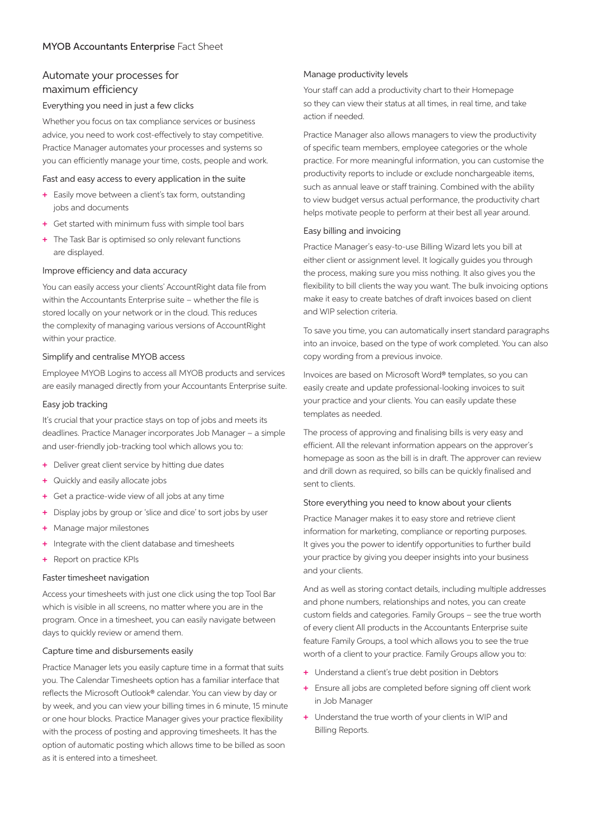## Automate your processes for maximum efficiency

#### Everything you need in just a few clicks

Whether you focus on tax compliance services or business advice, you need to work cost-effectively to stay competitive. Practice Manager automates your processes and systems so you can efficiently manage your time, costs, people and work.

#### Fast and easy access to every application in the suite

- + Easily move between a client's tax form, outstanding jobs and documents
- + Get started with minimum fuss with simple tool bars
- + The Task Bar is optimised so only relevant functions are displayed.

#### Improve efficiency and data accuracy

You can easily access your clients' AccountRight data file from within the Accountants Enterprise suite – whether the file is stored locally on your network or in the cloud. This reduces the complexity of managing various versions of AccountRight within your practice.

#### Simplify and centralise MYOB access

Employee MYOB Logins to access all MYOB products and services are easily managed directly from your Accountants Enterprise suite.

#### Easy job tracking

It's crucial that your practice stays on top of jobs and meets its deadlines. Practice Manager incorporates Job Manager – a simple and user-friendly job-tracking tool which allows you to:

- + Deliver great client service by hitting due dates
- + Quickly and easily allocate jobs
- + Get a practice-wide view of all jobs at any time
- + Display jobs by group or 'slice and dice' to sort jobs by user
- + Manage major milestones
- + Integrate with the client database and timesheets
- + Report on practice KPIs

#### Faster timesheet navigation

Access your timesheets with just one click using the top Tool Bar which is visible in all screens, no matter where you are in the program. Once in a timesheet, you can easily navigate between days to quickly review or amend them.

#### Capture time and disbursements easily

Practice Manager lets you easily capture time in a format that suits you. The Calendar Timesheets option has a familiar interface that reflects the Microsoft Outlook® calendar. You can view by day or by week, and you can view your billing times in 6 minute, 15 minute or one hour blocks. Practice Manager gives your practice flexibility with the process of posting and approving timesheets. It has the option of automatic posting which allows time to be billed as soon as it is entered into a timesheet.

#### Manage productivity levels

Your staff can add a productivity chart to their Homepage so they can view their status at all times, in real time, and take action if needed.

Practice Manager also allows managers to view the productivity of specific team members, employee categories or the whole practice. For more meaningful information, you can customise the productivity reports to include or exclude nonchargeable items, such as annual leave or staff training. Combined with the ability to view budget versus actual performance, the productivity chart helps motivate people to perform at their best all year around.

#### Easy billing and invoicing

Practice Manager's easy-to-use Billing Wizard lets you bill at either client or assignment level. It logically guides you through the process, making sure you miss nothing. It also gives you the flexibility to bill clients the way you want. The bulk invoicing options make it easy to create batches of draft invoices based on client and WIP selection criteria.

To save you time, you can automatically insert standard paragraphs into an invoice, based on the type of work completed. You can also copy wording from a previous invoice.

Invoices are based on Microsoft Word® templates, so you can easily create and update professional-looking invoices to suit your practice and your clients. You can easily update these templates as needed.

The process of approving and finalising bills is very easy and efficient. All the relevant information appears on the approver's homepage as soon as the bill is in draft. The approver can review and drill down as required, so bills can be quickly finalised and sent to clients.

#### Store everything you need to know about your clients

Practice Manager makes it to easy store and retrieve client information for marketing, compliance or reporting purposes. It gives you the power to identify opportunities to further build your practice by giving you deeper insights into your business and your clients.

And as well as storing contact details, including multiple addresses and phone numbers, relationships and notes, you can create custom fields and categories. Family Groups – see the true worth of every client All products in the Accountants Enterprise suite feature Family Groups, a tool which allows you to see the true worth of a client to your practice. Family Groups allow you to:

- + Understand a client's true debt position in Debtors
- + Ensure all jobs are completed before signing off client work in Job Manager
- + Understand the true worth of your clients in WIP and Billing Reports.